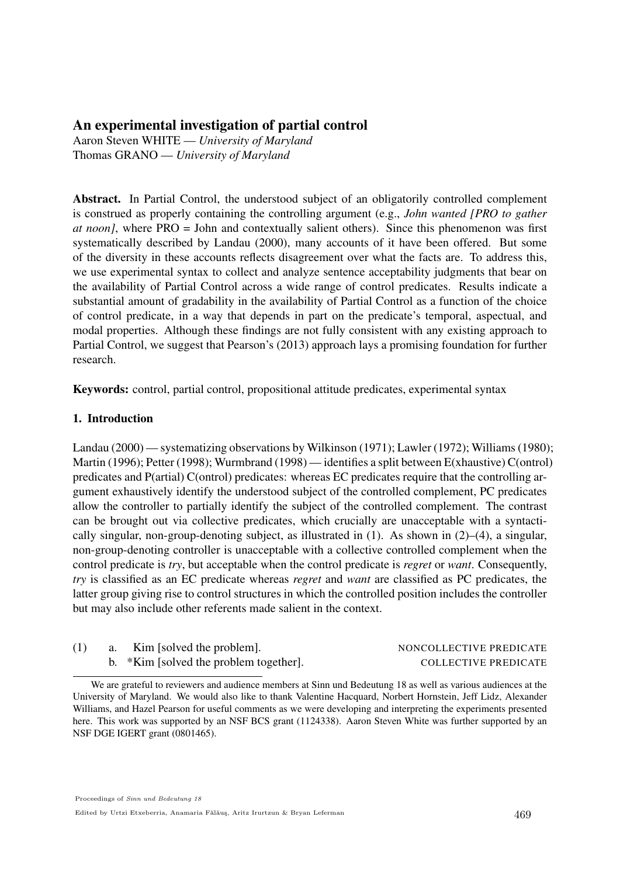# An experimental investigation of partial control

Aaron Steven WHITE — *University of Maryland* Thomas GRANO — *University of Maryland*

Abstract. In Partial Control, the understood subject of an obligatorily controlled complement is construed as properly containing the controlling argument (e.g., *John wanted [PRO to gather at noon]*, where PRO = John and contextually salient others). Since this phenomenon was first systematically described by Landau (2000), many accounts of it have been offered. But some of the diversity in these accounts reflects disagreement over what the facts are. To address this, we use experimental syntax to collect and analyze sentence acceptability judgments that bear on the availability of Partial Control across a wide range of control predicates. Results indicate a substantial amount of gradability in the availability of Partial Control as a function of the choice of control predicate, in a way that depends in part on the predicate's temporal, aspectual, and modal properties. Although these findings are not fully consistent with any existing approach to Partial Control, we suggest that Pearson's (2013) approach lays a promising foundation for further research.

Keywords: control, partial control, propositional attitude predicates, experimental syntax

## 1. Introduction

Landau (2000) — systematizing observations by Wilkinson (1971); Lawler (1972); Williams (1980); Martin (1996); Petter (1998); Wurmbrand (1998) — identifies a split between E(xhaustive) C(ontrol) predicates and P(artial) C(ontrol) predicates: whereas EC predicates require that the controlling argument exhaustively identify the understood subject of the controlled complement, PC predicates allow the controller to partially identify the subject of the controlled complement. The contrast can be brought out via collective predicates, which crucially are unacceptable with a syntactically singular, non-group-denoting subject, as illustrated in  $(1)$ . As shown in  $(2)$ – $(4)$ , a singular, non-group-denoting controller is unacceptable with a collective controlled complement when the control predicate is *try*, but acceptable when the control predicate is *regret* or *want*. Consequently, *try* is classified as an EC predicate whereas *regret* and *want* are classified as PC predicates, the latter group giving rise to control structures in which the controlled position includes the controller but may also include other referents made salient in the context.

|  | Kim [solved the problem].              | NONCOLLECTIVE PREDICATE     |
|--|----------------------------------------|-----------------------------|
|  | b. *Kim [solved the problem together]. | <b>COLLECTIVE PREDICATE</b> |

We are grateful to reviewers and audience members at Sinn und Bedeutung 18 as well as various audiences at the University of Maryland. We would also like to thank Valentine Hacquard, Norbert Hornstein, Jeff Lidz, Alexander Williams, and Hazel Pearson for useful comments as we were developing and interpreting the experiments presented here. This work was supported by an NSF BCS grant (1124338). Aaron Steven White was further supported by an NSF DGE IGERT grant (0801465).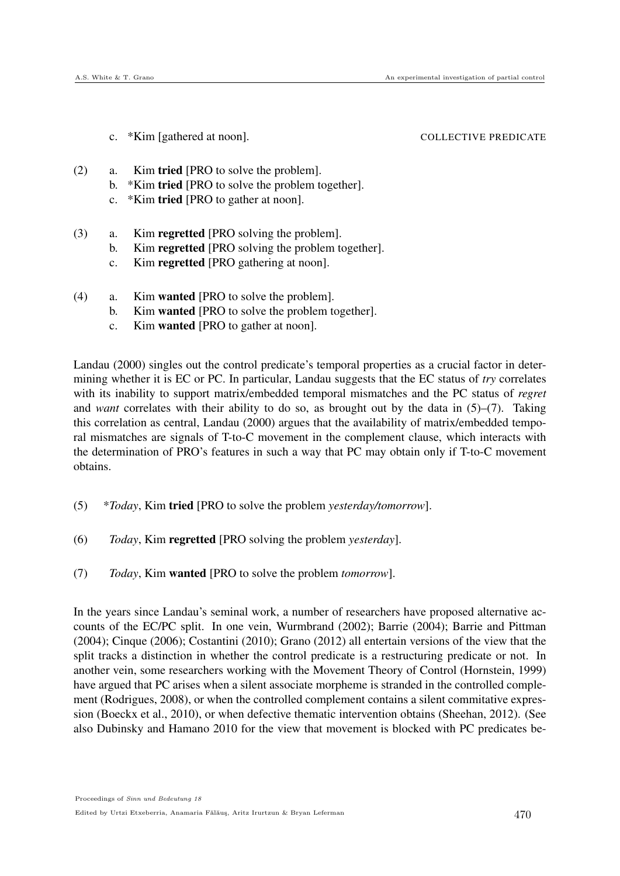c. \*Kim [gathered at noon]. COLLECTIVE PREDICATE

- (2) a. Kim tried [PRO to solve the problem].
	- b. \*Kim tried [PRO to solve the problem together].
	- c. \*Kim tried [PRO to gather at noon].
- (3) a. Kim regretted [PRO solving the problem].
	- b. Kim regretted [PRO solving the problem together].
	- c. Kim regretted [PRO gathering at noon].
- (4) a. Kim wanted [PRO to solve the problem].
	- b. Kim wanted [PRO to solve the problem together].
	- c. Kim wanted [PRO to gather at noon].

Landau (2000) singles out the control predicate's temporal properties as a crucial factor in determining whether it is EC or PC. In particular, Landau suggests that the EC status of *try* correlates with its inability to support matrix/embedded temporal mismatches and the PC status of *regret* and *want* correlates with their ability to do so, as brought out by the data in (5)–(7). Taking this correlation as central, Landau (2000) argues that the availability of matrix/embedded temporal mismatches are signals of T-to-C movement in the complement clause, which interacts with the determination of PRO's features in such a way that PC may obtain only if T-to-C movement obtains.

- (5) \**Today*, Kim tried [PRO to solve the problem *yesterday/tomorrow*].
- (6) *Today*, Kim regretted [PRO solving the problem *yesterday*].
- (7) *Today*, Kim wanted [PRO to solve the problem *tomorrow*].

In the years since Landau's seminal work, a number of researchers have proposed alternative accounts of the EC/PC split. In one vein, Wurmbrand (2002); Barrie (2004); Barrie and Pittman (2004); Cinque (2006); Costantini (2010); Grano (2012) all entertain versions of the view that the split tracks a distinction in whether the control predicate is a restructuring predicate or not. In another vein, some researchers working with the Movement Theory of Control (Hornstein, 1999) have argued that PC arises when a silent associate morpheme is stranded in the controlled complement (Rodrigues, 2008), or when the controlled complement contains a silent commitative expression (Boeckx et al., 2010), or when defective thematic intervention obtains (Sheehan, 2012). (See also Dubinsky and Hamano 2010 for the view that movement is blocked with PC predicates be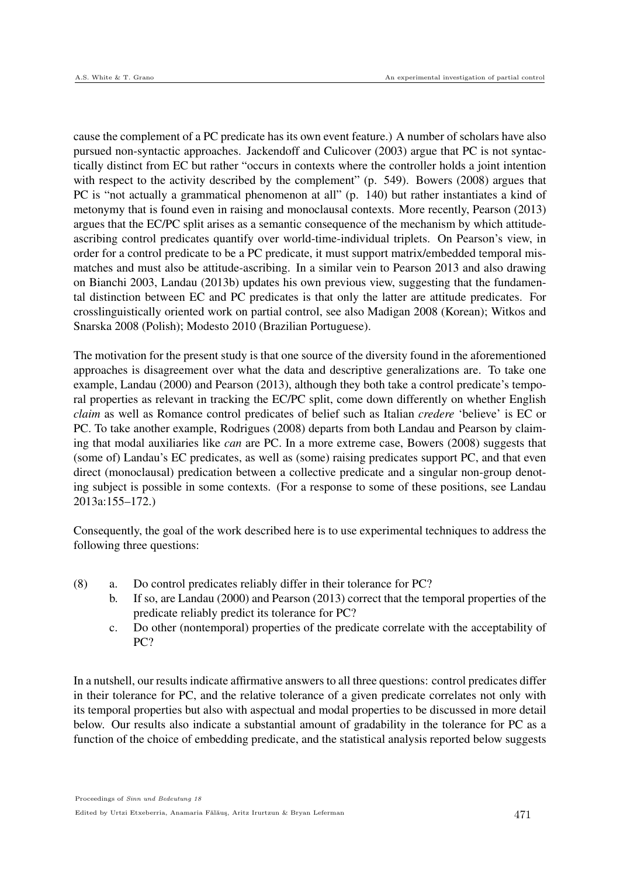cause the complement of a PC predicate has its own event feature.) A number of scholars have also pursued non-syntactic approaches. Jackendoff and Culicover (2003) argue that PC is not syntactically distinct from EC but rather "occurs in contexts where the controller holds a joint intention with respect to the activity described by the complement" (p. 549). Bowers (2008) argues that PC is "not actually a grammatical phenomenon at all" (p. 140) but rather instantiates a kind of metonymy that is found even in raising and monoclausal contexts. More recently, Pearson (2013) argues that the EC/PC split arises as a semantic consequence of the mechanism by which attitudeascribing control predicates quantify over world-time-individual triplets. On Pearson's view, in order for a control predicate to be a PC predicate, it must support matrix/embedded temporal mismatches and must also be attitude-ascribing. In a similar vein to Pearson 2013 and also drawing on Bianchi 2003, Landau (2013b) updates his own previous view, suggesting that the fundamental distinction between EC and PC predicates is that only the latter are attitude predicates. For crosslinguistically oriented work on partial control, see also Madigan 2008 (Korean); Witkos and Snarska 2008 (Polish); Modesto 2010 (Brazilian Portuguese).

The motivation for the present study is that one source of the diversity found in the aforementioned approaches is disagreement over what the data and descriptive generalizations are. To take one example, Landau (2000) and Pearson (2013), although they both take a control predicate's temporal properties as relevant in tracking the EC/PC split, come down differently on whether English *claim* as well as Romance control predicates of belief such as Italian *credere* 'believe' is EC or PC. To take another example, Rodrigues (2008) departs from both Landau and Pearson by claiming that modal auxiliaries like *can* are PC. In a more extreme case, Bowers (2008) suggests that (some of) Landau's EC predicates, as well as (some) raising predicates support PC, and that even direct (monoclausal) predication between a collective predicate and a singular non-group denoting subject is possible in some contexts. (For a response to some of these positions, see Landau 2013a:155–172.)

Consequently, the goal of the work described here is to use experimental techniques to address the following three questions:

- (8) a. Do control predicates reliably differ in their tolerance for PC?
	- b. If so, are Landau (2000) and Pearson (2013) correct that the temporal properties of the predicate reliably predict its tolerance for PC?
	- c. Do other (nontemporal) properties of the predicate correlate with the acceptability of PC?

In a nutshell, our results indicate affirmative answers to all three questions: control predicates differ in their tolerance for PC, and the relative tolerance of a given predicate correlates not only with its temporal properties but also with aspectual and modal properties to be discussed in more detail below. Our results also indicate a substantial amount of gradability in the tolerance for PC as a function of the choice of embedding predicate, and the statistical analysis reported below suggests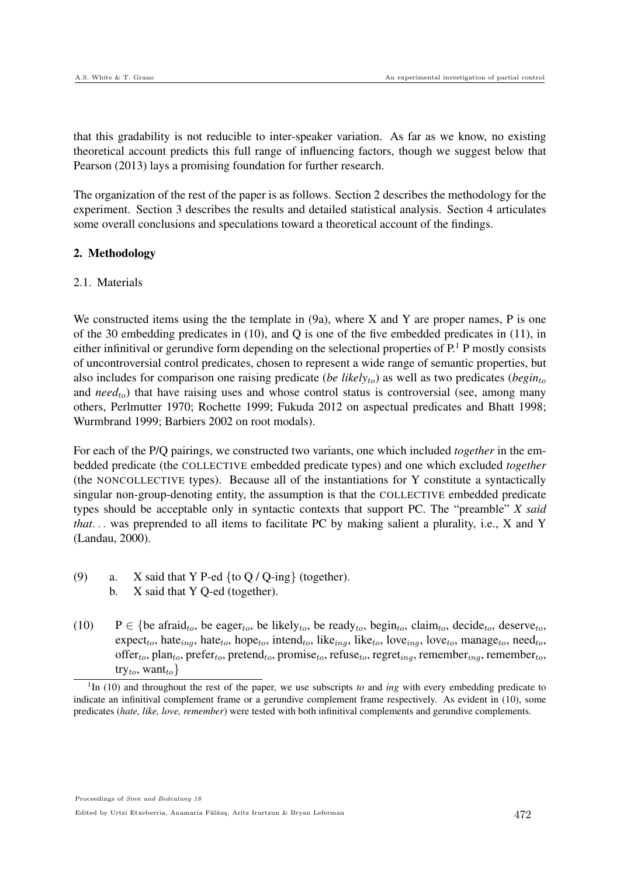that this gradability is not reducible to inter-speaker variation. As far as we know, no existing theoretical account predicts this full range of influencing factors, though we suggest below that Pearson (2013) lays a promising foundation for further research.

The organization of the rest of the paper is as follows. Section 2 describes the methodology for the experiment. Section 3 describes the results and detailed statistical analysis. Section 4 articulates some overall conclusions and speculations toward a theoretical account of the findings.

## 2. Methodology

## 2.1. Materials

We constructed items using the the template in  $(9a)$ , where X and Y are proper names, P is one of the 30 embedding predicates in (10), and Q is one of the five embedded predicates in (11), in either infinitival or gerundive form depending on the selectional properties of  $P<sup>1</sup>$  P mostly consists of uncontroversial control predicates, chosen to represent a wide range of semantic properties, but also includes for comparison one raising predicate (*be likely<sub>to</sub>*) as well as two predicates (*begin<sub>to</sub>*) and *need*<sub>to</sub>) that have raising uses and whose control status is controversial (see, among many others, Perlmutter 1970; Rochette 1999; Fukuda 2012 on aspectual predicates and Bhatt 1998; Wurmbrand 1999; Barbiers 2002 on root modals).

For each of the P/Q pairings, we constructed two variants, one which included *together* in the embedded predicate (the COLLECTIVE embedded predicate types) and one which excluded *together* (the NONCOLLECTIVE types). Because all of the instantiations for Y constitute a syntactically singular non-group-denoting entity, the assumption is that the COLLECTIVE embedded predicate types should be acceptable only in syntactic contexts that support PC. The "preamble" *X said that*. . . was preprended to all items to facilitate PC by making salient a plurality, i.e., X and Y (Landau, 2000).

- (9) a. X said that Y P-ed  $\{$  to  $Q$  /  $Q$ -ing $\}$  (together).<br>b. X said that Y O-ed (together).
	- X said that Y Q-ed (together).
- (10) P  $\in$  {be afraid<sub>to</sub>, be eager<sub>to</sub>, be likely<sub>to</sub>, be ready<sub>to</sub>, begin<sub>to</sub>, claim<sub>to</sub>, decide<sub>to</sub>, deserve<sub>to</sub>,  $\text{expect}_{to}$ , hate<sub>ing</sub>, hate<sub>to</sub>, hope<sub>to</sub>, intend<sub>to</sub>, like<sub>ing</sub>, like<sub>to</sub>, love<sub>ing</sub>, love<sub>to</sub>, manage<sub>to</sub>, need<sub>to</sub>, offer<sub>to</sub>, plan<sub>to</sub>, prefer<sub>to</sub>, pretend<sub>to</sub>, promise<sub>to</sub>, refuse<sub>to</sub>, regret<sub>ing</sub>, remember<sub>ing</sub>, remember<sub>to</sub>, try<sub>to</sub>, want<sub>to</sub>}

Proceedings of Sinn und Bedeutung 18

Edited by Urtzi Etxeberria, Anamaria Fălăuş, Aritz Irurtzun & Bryan Leferman  $472$ 

<sup>&</sup>lt;sup>1</sup>In (10) and throughout the rest of the paper, we use subscripts *to* and *ing* with every embedding predicate to indicate an infinitival complement frame or a gerundive complement frame respectively. As evident in (10), some predicates (*hate, like, love, remember*) were tested with both infinitival complements and gerundive complements.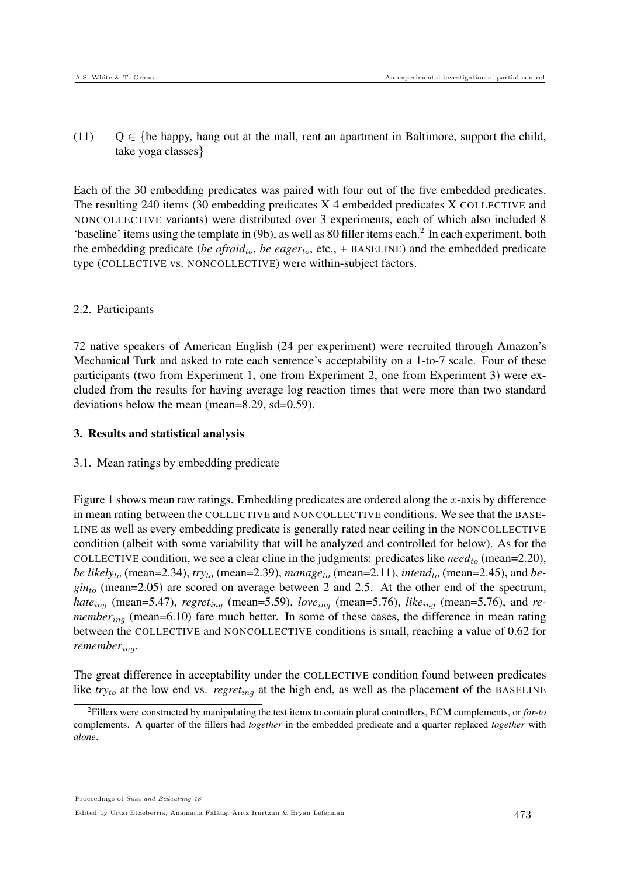(11)  $Q \in \{be happy, hang out at the mall, rent an apartment in Baltimore, support the child,$ take yoga classes}

Each of the 30 embedding predicates was paired with four out of the five embedded predicates. The resulting 240 items  $(30 \text{ embedding predicates } X \text{ 4 embedded predicates } X \text{ COLLECTIVE and } \text{A})$ NONCOLLECTIVE variants) were distributed over 3 experiments, each of which also included 8 'baseline' items using the template in (9b), as well as 80 filler items each.<sup>2</sup> In each experiment, both the embedding predicate (*be afraid<sub>to</sub>*, *be eager<sub>to</sub>*, etc., + BASELINE) and the embedded predicate type (COLLECTIVE vs. NONCOLLECTIVE) were within-subject factors.

#### 2.2. Participants

72 native speakers of American English (24 per experiment) were recruited through Amazon's Mechanical Turk and asked to rate each sentence's acceptability on a 1-to-7 scale. Four of these participants (two from Experiment 1, one from Experiment 2, one from Experiment 3) were excluded from the results for having average log reaction times that were more than two standard deviations below the mean (mean=8.29, sd=0.59).

#### 3. Results and statistical analysis

## 3.1. Mean ratings by embedding predicate

Figure 1 shows mean raw ratings. Embedding predicates are ordered along the  $x$ -axis by difference in mean rating between the COLLECTIVE and NONCOLLECTIVE conditions. We see that the BASE-LINE as well as every embedding predicate is generally rated near ceiling in the NONCOLLECTIVE condition (albeit with some variability that will be analyzed and controlled for below). As for the COLLECTIVE condition, we see a clear cline in the judgments: predicates like  $need_{to}$  (mean=2.20), *be likely<sub>to</sub>* (mean=2.34),  $try_{to}$  (mean=2.39), *manage*<sub>to</sub> (mean=2.11), *intend*<sub>to</sub> (mean=2.45), and *be*- $\sin t_0$  (mean=2.05) are scored on average between 2 and 2.5. At the other end of the spectrum, *hate*<sub>ing</sub> (mean=5.47), *regret*<sub>ing</sub> (mean=5.59), *love*<sub>ing</sub> (mean=5.76), *like*<sub>ing</sub> (mean=5.76), and *remember<sub>ing</sub>* (mean=6.10) fare much better. In some of these cases, the difference in mean rating between the COLLECTIVE and NONCOLLECTIVE conditions is small, reaching a value of 0.62 for *remember<sub>ing</sub>*.

The great difference in acceptability under the COLLECTIVE condition found between predicates like  $try_{to}$  at the low end vs. *regret<sub>ing</sub>* at the high end, as well as the placement of the BASELINE

Edited by Urtzi Etxeberria, Anamaria Fălăuş, Aritz Irurtzun & Bryan Leferman  $473$ 

<sup>2</sup>Fillers were constructed by manipulating the test items to contain plural controllers, ECM complements, or *for-to* complements. A quarter of the fillers had *together* in the embedded predicate and a quarter replaced *together* with *alone*.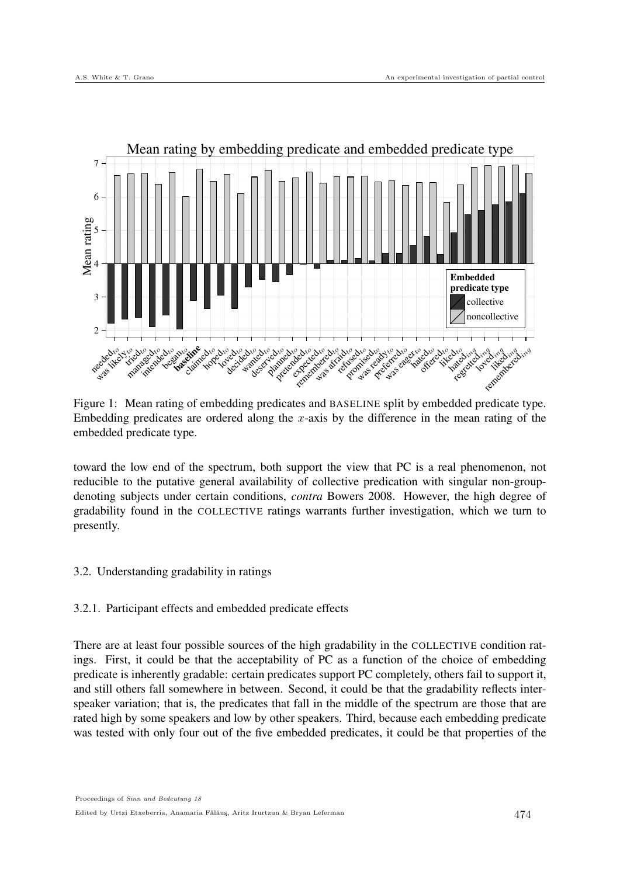

Figure 1: Mean rating of embedding predicates and BASELINE split by embedded predicate type. Embedding predicates are ordered along the x-axis by the difference in the mean rating of the embedded predicate type.

toward the low end of the spectrum, both support the view that PC is a real phenomenon, not reducible to the putative general availability of collective predication with singular non-groupdenoting subjects under certain conditions, *contra* Bowers 2008. However, the high degree of gradability found in the COLLECTIVE ratings warrants further investigation, which we turn to presently.

## 3.2. Understanding gradability in ratings

3.2.1. Participant effects and embedded predicate effects

There are at least four possible sources of the high gradability in the COLLECTIVE condition ratings. First, it could be that the acceptability of PC as a function of the choice of embedding predicate is inherently gradable: certain predicates support PC completely, others fail to support it, and still others fall somewhere in between. Second, it could be that the gradability reflects interspeaker variation; that is, the predicates that fall in the middle of the spectrum are those that are rated high by some speakers and low by other speakers. Third, because each embedding predicate was tested with only four out of the five embedded predicates, it could be that properties of the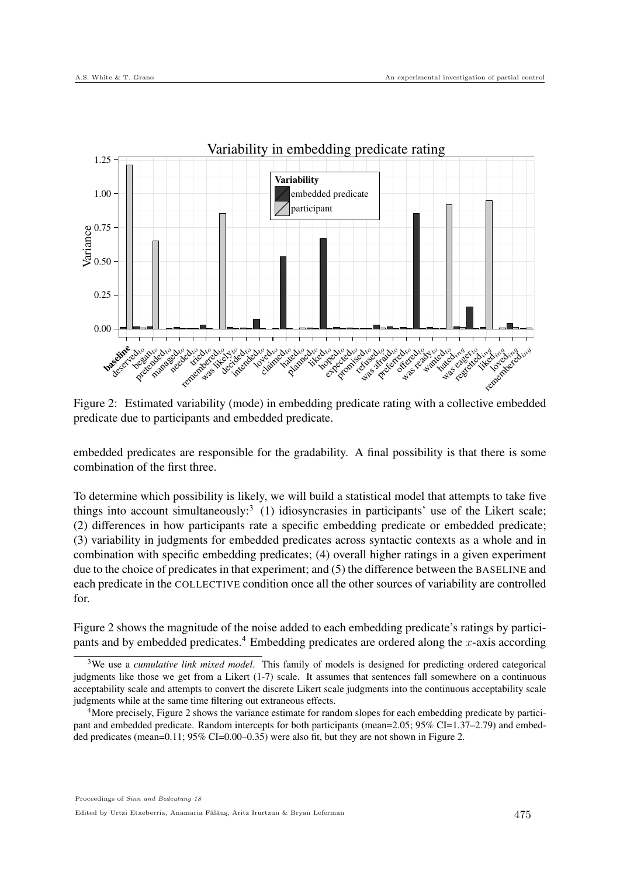

Figure 2: Estimated variability (mode) in embedding predicate rating with a collective embedded predicate due to participants and embedded predicate.

embedded predicates are responsible for the gradability. A final possibility is that there is some combination of the first three.

To determine which possibility is likely, we will build a statistical model that attempts to take five things into account simultaneously: $3$  (1) idiosyncrasies in participants' use of the Likert scale; (2) differences in how participants rate a specific embedding predicate or embedded predicate; (3) variability in judgments for embedded predicates across syntactic contexts as a whole and in combination with specific embedding predicates; (4) overall higher ratings in a given experiment due to the choice of predicates in that experiment; and (5) the difference between the BASELINE and each predicate in the COLLECTIVE condition once all the other sources of variability are controlled for.

Figure 2 shows the magnitude of the noise added to each embedding predicate's ratings by participants and by embedded predicates.<sup>4</sup> Embedding predicates are ordered along the x-axis according

<sup>3</sup>We use a *cumulative link mixed model*. This family of models is designed for predicting ordered categorical judgments like those we get from a Likert (1-7) scale. It assumes that sentences fall somewhere on a continuous acceptability scale and attempts to convert the discrete Likert scale judgments into the continuous acceptability scale judgments while at the same time filtering out extraneous effects.

<sup>&</sup>lt;sup>4</sup>More precisely, Figure 2 shows the variance estimate for random slopes for each embedding predicate by participant and embedded predicate. Random intercepts for both participants (mean=2.05; 95% CI=1.37–2.79) and embedded predicates (mean=0.11; 95% CI=0.00–0.35) were also fit, but they are not shown in Figure 2.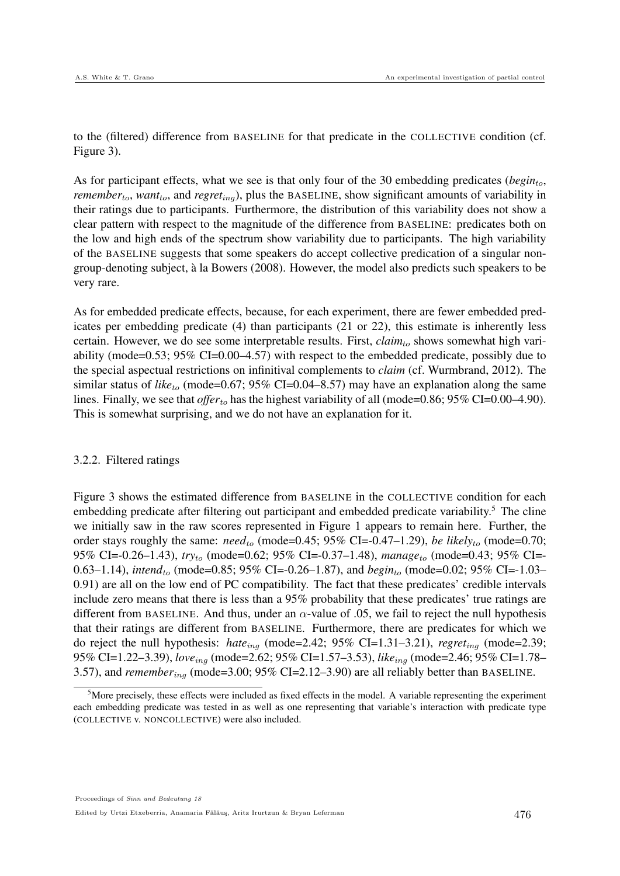to the (filtered) difference from BASELINE for that predicate in the COLLECTIVE condition (cf. Figure 3).

As for participant effects, what we see is that only four of the 30 embedding predicates (*begin*<sub>to</sub>, *remember<sub>to</sub>*, *want*<sub>to</sub>, and *regret*<sub>ing</sub>), plus the BASELINE, show significant amounts of variability in their ratings due to participants. Furthermore, the distribution of this variability does not show a clear pattern with respect to the magnitude of the difference from BASELINE: predicates both on the low and high ends of the spectrum show variability due to participants. The high variability of the BASELINE suggests that some speakers do accept collective predication of a singular nongroup-denoting subject, a la Bowers (2008). However, the model also predicts such speakers to be ` very rare.

As for embedded predicate effects, because, for each experiment, there are fewer embedded predicates per embedding predicate (4) than participants (21 or 22), this estimate is inherently less certain. However, we do see some interpretable results. First,  $claim<sub>to</sub>$  shows somewhat high variability (mode=0.53; 95% CI=0.00–4.57) with respect to the embedded predicate, possibly due to the special aspectual restrictions on infinitival complements to *claim* (cf. Wurmbrand, 2012). The similar status of *like<sub>to</sub>* (mode=0.67; 95% CI=0.04–8.57) may have an explanation along the same lines. Finally, we see that *offer*<sub>to</sub> has the highest variability of all (mode=0.86; 95% CI=0.00–4.90). This is somewhat surprising, and we do not have an explanation for it.

#### 3.2.2. Filtered ratings

Figure 3 shows the estimated difference from BASELINE in the COLLECTIVE condition for each embedding predicate after filtering out participant and embedded predicate variability.<sup>5</sup> The cline we initially saw in the raw scores represented in Figure 1 appears to remain here. Further, the order stays roughly the same:  $need_{to}$  (mode=0.45; 95% CI=-0.47–1.29), *be likely<sub>to</sub>* (mode=0.70; 95% CI=-0.26–1.43), *try*to (mode=0.62; 95% CI=-0.37–1.48), *manage*to (mode=0.43; 95% CI=- 0.63–1.14), *intend<sub>to</sub>* (mode=0.85; 95% CI=-0.26–1.87), and *begin<sub>to</sub>* (mode=0.02; 95% CI=-1.03– 0.91) are all on the low end of PC compatibility. The fact that these predicates' credible intervals include zero means that there is less than a 95% probability that these predicates' true ratings are different from BASELINE. And thus, under an  $\alpha$ -value of .05, we fail to reject the null hypothesis that their ratings are different from BASELINE. Furthermore, there are predicates for which we do reject the null hypothesis: *hate*ing (mode=2.42; 95% CI=1.31–3.21), *regret*ing (mode=2.39; 95% CI=1.22–3.39), *love*ing (mode=2.62; 95% CI=1.57–3.53), *like*ing (mode=2.46; 95% CI=1.78– 3.57), and *remember*ing (mode=3.00; 95% CI=2.12–3.90) are all reliably better than BASELINE.

 $5$ More precisely, these effects were included as fixed effects in the model. A variable representing the experiment each embedding predicate was tested in as well as one representing that variable's interaction with predicate type (COLLECTIVE v. NONCOLLECTIVE) were also included.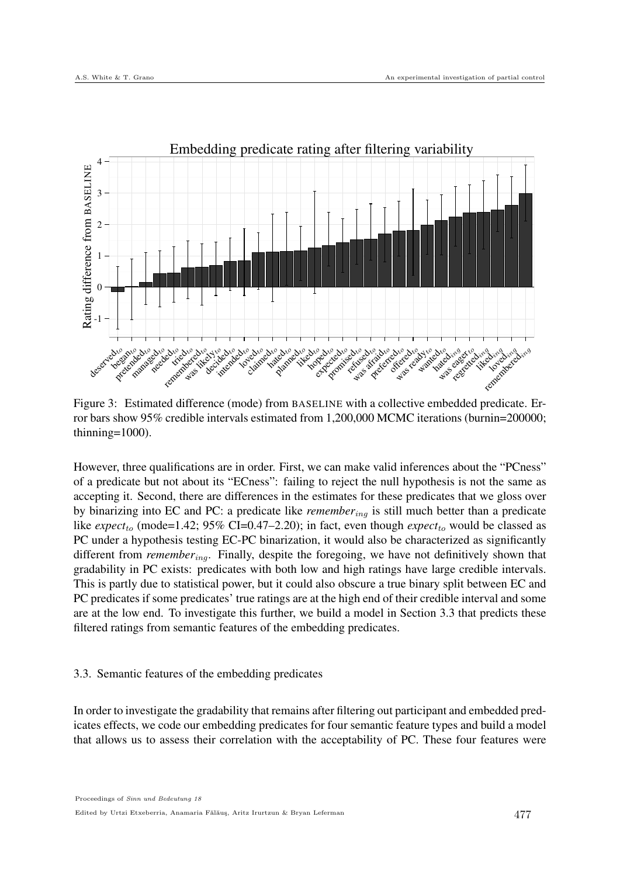

Figure 3: Estimated difference (mode) from BASELINE with a collective embedded predicate. Error bars show 95% credible intervals estimated from 1,200,000 MCMC iterations (burnin=200000; thinning=1000).

However, three qualifications are in order. First, we can make valid inferences about the "PCness" of a predicate but not about its "ECness": failing to reject the null hypothesis is not the same as accepting it. Second, there are differences in the estimates for these predicates that we gloss over by binarizing into EC and PC: a predicate like *remember*ing is still much better than a predicate like  $expect<sub>to</sub> (mode=1.42; 95% CI=0.47-2.20)$ ; in fact, even though  $expect<sub>to</sub>$  would be classed as PC under a hypothesis testing EC-PC binarization, it would also be characterized as significantly different from *remember*ing. Finally, despite the foregoing, we have not definitively shown that gradability in PC exists: predicates with both low and high ratings have large credible intervals. This is partly due to statistical power, but it could also obscure a true binary split between EC and PC predicates if some predicates' true ratings are at the high end of their credible interval and some are at the low end. To investigate this further, we build a model in Section 3.3 that predicts these filtered ratings from semantic features of the embedding predicates.

## 3.3. Semantic features of the embedding predicates

In order to investigate the gradability that remains after filtering out participant and embedded predicates effects, we code our embedding predicates for four semantic feature types and build a model that allows us to assess their correlation with the acceptability of PC. These four features were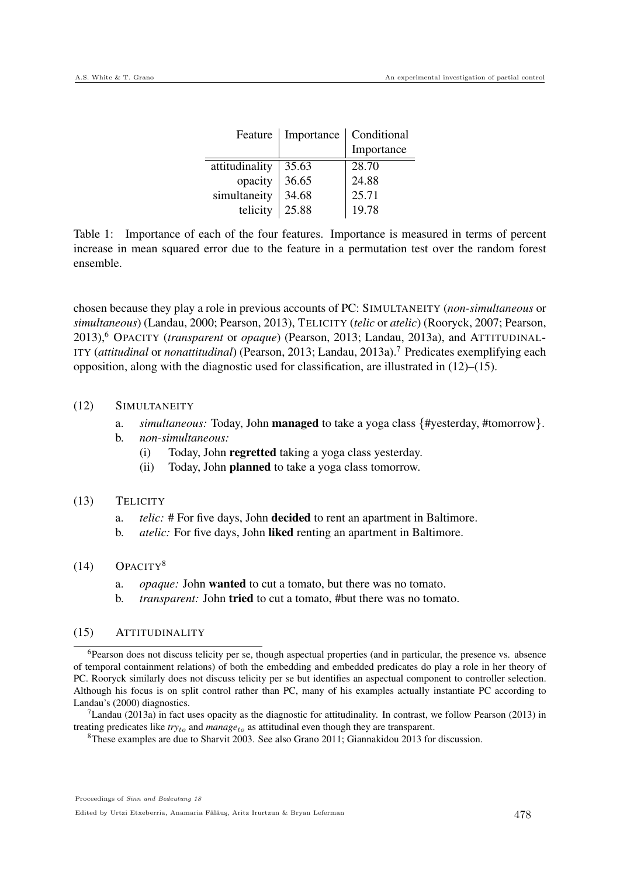| Feature        | Importance | Conditional |
|----------------|------------|-------------|
|                |            | Importance  |
| attitudinality | 35.63      | 28.70       |
| opacity        | 36.65      | 24.88       |
| simultaneity   | 34.68      | 25.71       |
| telicity       | 25.88      | 19.78       |

Table 1: Importance of each of the four features. Importance is measured in terms of percent increase in mean squared error due to the feature in a permutation test over the random forest ensemble.

chosen because they play a role in previous accounts of PC: SIMULTANEITY (*non-simultaneous* or *simultaneous*) (Landau, 2000; Pearson, 2013), TELICITY (*telic* or *atelic*) (Rooryck, 2007; Pearson, 2013),<sup>6</sup> OPACITY (*transparent* or *opaque*) (Pearson, 2013; Landau, 2013a), and ATTITUDINAL-ITY (*attitudinal* or *nonattitudinal*) (Pearson, 2013; Landau, 2013a).<sup>7</sup> Predicates exemplifying each opposition, along with the diagnostic used for classification, are illustrated in (12)–(15).

#### (12) SIMULTANEITY

- a. *simultaneous:* Today, John **managed** to take a yoga class {#yesterday, #tomorrow}.<br>b. *non-simultaneous:*
- b. *non-simultaneous:*
	- (i) Today, John regretted taking a yoga class yesterday.
	- (ii) Today, John planned to take a yoga class tomorrow.

#### (13) TELICITY

- a. *telic:* # For five days, John decided to rent an apartment in Baltimore.
- b. *atelic:* For five days, John liked renting an apartment in Baltimore.

#### $(14)$  OPACITY<sup>8</sup>

- a. *opaque:* John wanted to cut a tomato, but there was no tomato.
- b. *transparent:* John tried to cut a tomato, #but there was no tomato.

### (15) ATTITUDINALITY

<sup>6</sup>Pearson does not discuss telicity per se, though aspectual properties (and in particular, the presence vs. absence of temporal containment relations) of both the embedding and embedded predicates do play a role in her theory of PC. Rooryck similarly does not discuss telicity per se but identifies an aspectual component to controller selection. Although his focus is on split control rather than PC, many of his examples actually instantiate PC according to Landau's (2000) diagnostics.

 $^7$ Landau (2013a) in fact uses opacity as the diagnostic for attitudinality. In contrast, we follow Pearson (2013) in treating predicates like  $try<sub>to</sub>$  and  $manage<sub>to</sub>$  as attitudinal even though they are transparent.

<sup>8</sup>These examples are due to Sharvit 2003. See also Grano 2011; Giannakidou 2013 for discussion.

Proceedings of Sinn und Bedeutung 18

Edited by Urtzi Etxeberria, Anamaria Fălăuş, Aritz Irurtzun & Bryan Leferman  $478$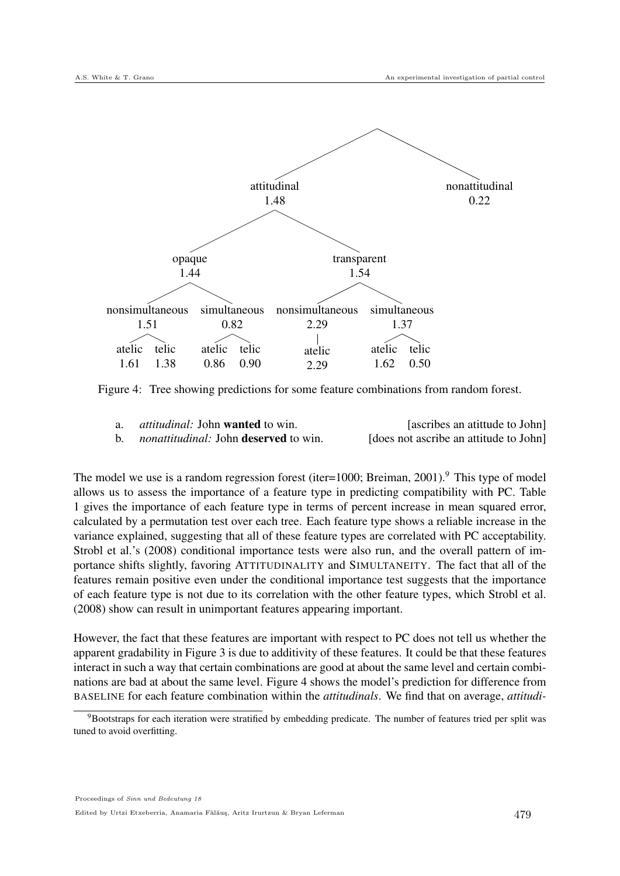

Figure 4: Tree showing predictions for some feature combinations from random forest.

| <i>attitudinal:</i> John <b>wanted</b> to win.      | [ascribes an atitude to John]          |
|-----------------------------------------------------|----------------------------------------|
| <i>nonattitudinal:</i> John <b>deserved</b> to win. | [does not ascribe an attitude to John] |

The model we use is a random regression forest (iter=1000; Breiman, 2001).<sup>9</sup> This type of model allows us to assess the importance of a feature type in predicting compatibility with PC. Table 1 gives the importance of each feature type in terms of percent increase in mean squared error, calculated by a permutation test over each tree. Each feature type shows a reliable increase in the variance explained, suggesting that all of these feature types are correlated with PC acceptability. Strobl et al.'s (2008) conditional importance tests were also run, and the overall pattern of importance shifts slightly, favoring ATTITUDINALITY and SIMULTANEITY. The fact that all of the features remain positive even under the conditional importance test suggests that the importance of each feature type is not due to its correlation with the other feature types, which Strobl et al. (2008) show can result in unimportant features appearing important.

However, the fact that these features are important with respect to PC does not tell us whether the apparent gradability in Figure 3 is due to additivity of these features. It could be that these features interact in such a way that certain combinations are good at about the same level and certain combinations are bad at about the same level. Figure 4 shows the model's prediction for difference from BASELINE for each feature combination within the *attitudinals*. We find that on average, *attitudi-*

<sup>&</sup>lt;sup>9</sup>Bootstraps for each iteration were stratified by embedding predicate. The number of features tried per split was tuned to avoid overfitting.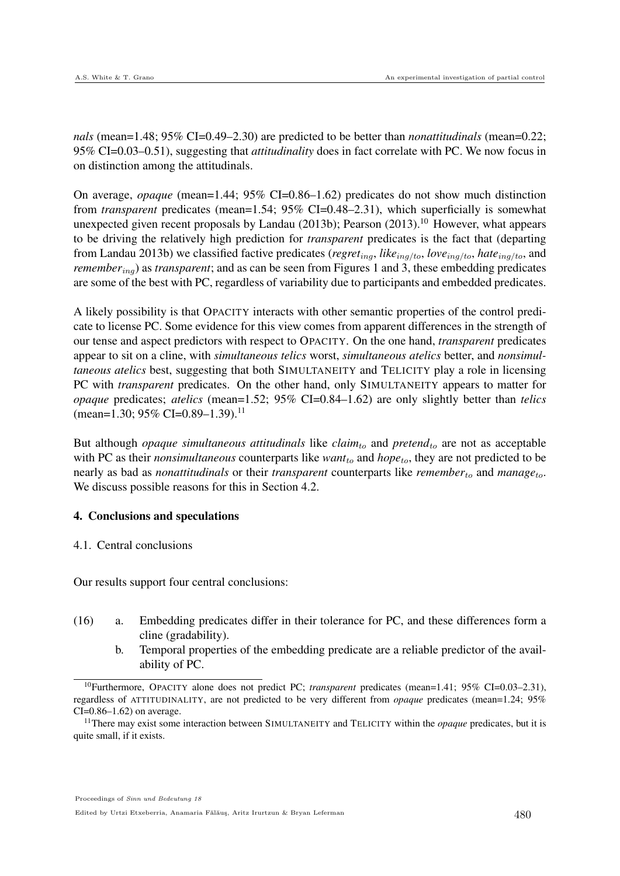*nals* (mean=1.48; 95% CI=0.49–2.30) are predicted to be better than *nonattitudinals* (mean=0.22; 95% CI=0.03–0.51), suggesting that *attitudinality* does in fact correlate with PC. We now focus in on distinction among the attitudinals.

On average, *opaque* (mean=1.44; 95% CI=0.86–1.62) predicates do not show much distinction from *transparent* predicates (mean=1.54; 95% CI=0.48–2.31), which superficially is somewhat unexpected given recent proposals by Landau (2013b); Pearson (2013).<sup>10</sup> However, what appears to be driving the relatively high prediction for *transparent* predicates is the fact that (departing from Landau 2013b) we classified factive predicates (*regret*ing, *like*ing/to, *love*ing/to, *hate*ing/to, and *remember<sub>ing</sub>*) as *transparent*; and as can be seen from Figures 1 and 3, these embedding predicates are some of the best with PC, regardless of variability due to participants and embedded predicates.

A likely possibility is that OPACITY interacts with other semantic properties of the control predicate to license PC. Some evidence for this view comes from apparent differences in the strength of our tense and aspect predictors with respect to OPACITY. On the one hand, *transparent* predicates appear to sit on a cline, with *simultaneous telics* worst, *simultaneous atelics* better, and *nonsimultaneous atelics* best, suggesting that both SIMULTANEITY and TELICITY play a role in licensing PC with *transparent* predicates. On the other hand, only SIMULTANEITY appears to matter for *opaque* predicates; *atelics* (mean=1.52; 95% CI=0.84–1.62) are only slightly better than *telics* (mean=1.30; 95% CI=0.89–1.39).<sup>11</sup>

But although *opaque simultaneous attitudinals* like  $claim<sub>to</sub>$  and  $pretend<sub>to</sub>$  are not as acceptable with PC as their *nonsimultaneous* counterparts like  $want<sub>to</sub>$  and  $hope<sub>to</sub>$ , they are not predicted to be nearly as bad as *nonattitudinals* or their *transparent* counterparts like *remember*to and *manage*to. We discuss possible reasons for this in Section 4.2.

## 4. Conclusions and speculations

## 4.1. Central conclusions

Our results support four central conclusions:

- (16) a. Embedding predicates differ in their tolerance for PC, and these differences form a cline (gradability).
	- b. Temporal properties of the embedding predicate are a reliable predictor of the availability of PC.

Edited by Urtzi Etxeberria, Anamaria Fălăuș, Aritz Irurtzun & Bryan Leferman  $480$ 

<sup>10</sup>Furthermore, OPACITY alone does not predict PC; *transparent* predicates (mean=1.41; 95% CI=0.03–2.31), regardless of ATTITUDINALITY, are not predicted to be very different from *opaque* predicates (mean=1.24; 95%  $CI = 0.86 - 1.62$  on average.

<sup>11</sup>There may exist some interaction between SIMULTANEITY and TELICITY within the *opaque* predicates, but it is quite small, if it exists.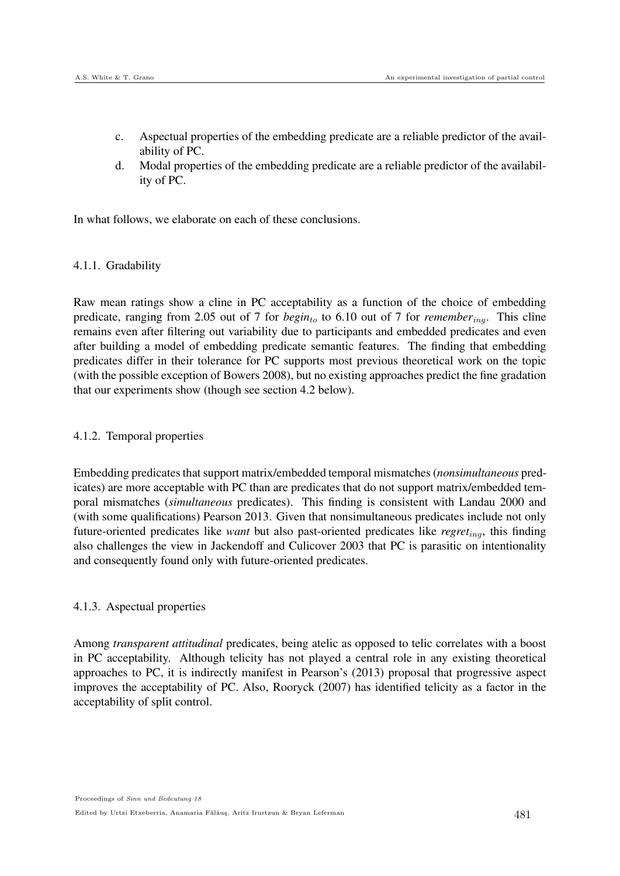- c. Aspectual properties of the embedding predicate are a reliable predictor of the availability of PC.
- d. Modal properties of the embedding predicate are a reliable predictor of the availability of PC.

In what follows, we elaborate on each of these conclusions.

## 4.1.1. Gradability

Raw mean ratings show a cline in PC acceptability as a function of the choice of embedding predicate, ranging from 2.05 out of 7 for  $beginto 6.10$  out of 7 for *remember<sub>ing</sub>*. This cline remains even after filtering out variability due to participants and embedded predicates and even after building a model of embedding predicate semantic features. The finding that embedding predicates differ in their tolerance for PC supports most previous theoretical work on the topic (with the possible exception of Bowers 2008), but no existing approaches predict the fine gradation that our experiments show (though see section 4.2 below).

## 4.1.2. Temporal properties

Embedding predicates that support matrix/embedded temporal mismatches (*nonsimultaneous* predicates) are more acceptable with PC than are predicates that do not support matrix/embedded temporal mismatches (*simultaneous* predicates). This finding is consistent with Landau 2000 and (with some qualifications) Pearson 2013. Given that nonsimultaneous predicates include not only future-oriented predicates like *want* but also past-oriented predicates like *regret<sub>ing</sub>*, this finding also challenges the view in Jackendoff and Culicover 2003 that PC is parasitic on intentionality and consequently found only with future-oriented predicates.

## 4.1.3. Aspectual properties

Among *transparent attitudinal* predicates, being atelic as opposed to telic correlates with a boost in PC acceptability. Although telicity has not played a central role in any existing theoretical approaches to PC, it is indirectly manifest in Pearson's (2013) proposal that progressive aspect improves the acceptability of PC. Also, Rooryck (2007) has identified telicity as a factor in the acceptability of split control.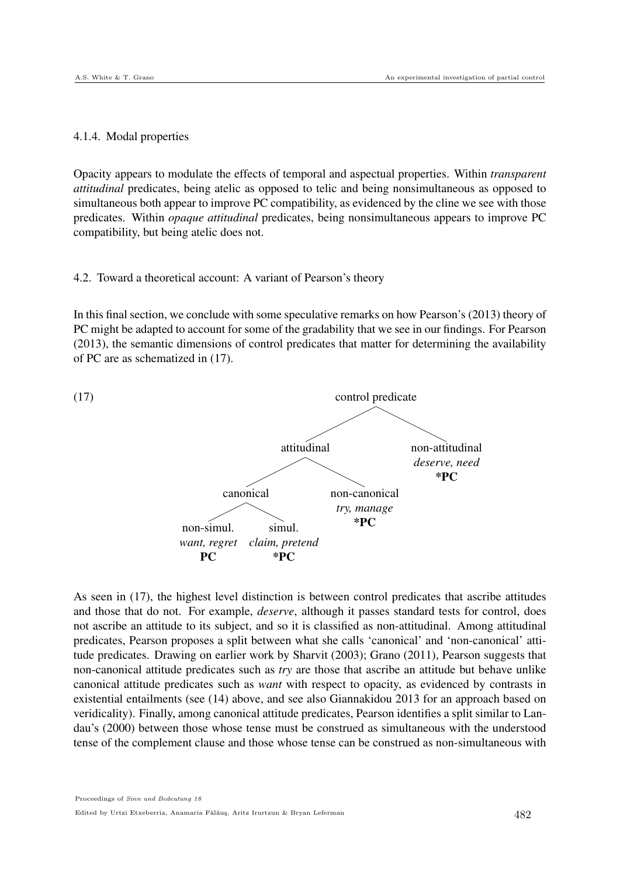#### 4.1.4. Modal properties

Opacity appears to modulate the effects of temporal and aspectual properties. Within *transparent attitudinal* predicates, being atelic as opposed to telic and being nonsimultaneous as opposed to simultaneous both appear to improve PC compatibility, as evidenced by the cline we see with those predicates. Within *opaque attitudinal* predicates, being nonsimultaneous appears to improve PC compatibility, but being atelic does not.

#### 4.2. Toward a theoretical account: A variant of Pearson's theory

In this final section, we conclude with some speculative remarks on how Pearson's (2013) theory of PC might be adapted to account for some of the gradability that we see in our findings. For Pearson (2013), the semantic dimensions of control predicates that matter for determining the availability of PC are as schematized in (17).



As seen in (17), the highest level distinction is between control predicates that ascribe attitudes and those that do not. For example, *deserve*, although it passes standard tests for control, does not ascribe an attitude to its subject, and so it is classified as non-attitudinal. Among attitudinal predicates, Pearson proposes a split between what she calls 'canonical' and 'non-canonical' attitude predicates. Drawing on earlier work by Sharvit (2003); Grano (2011), Pearson suggests that non-canonical attitude predicates such as *try* are those that ascribe an attitude but behave unlike canonical attitude predicates such as *want* with respect to opacity, as evidenced by contrasts in existential entailments (see (14) above, and see also Giannakidou 2013 for an approach based on veridicality). Finally, among canonical attitude predicates, Pearson identifies a split similar to Landau's (2000) between those whose tense must be construed as simultaneous with the understood tense of the complement clause and those whose tense can be construed as non-simultaneous with

Proceedings of Sinn und Bedeutung 18 Edited by Urtzi Etxeberria, Anamaria Fălăuş, Aritz Irurtzun & Bryan Leferman 482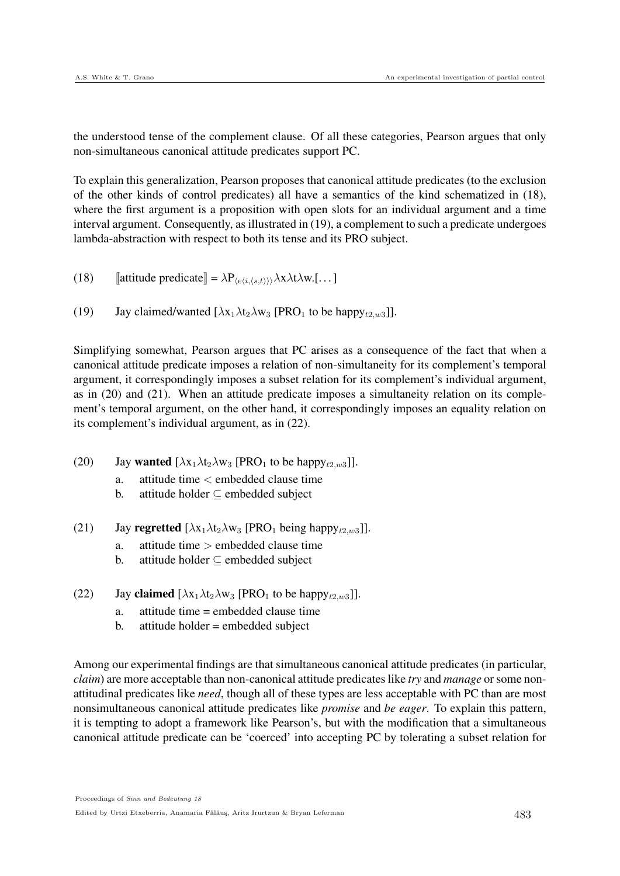the understood tense of the complement clause. Of all these categories, Pearson argues that only non-simultaneous canonical attitude predicates support PC.

To explain this generalization, Pearson proposes that canonical attitude predicates (to the exclusion of the other kinds of control predicates) all have a semantics of the kind schematized in (18), where the first argument is a proposition with open slots for an individual argument and a time interval argument. Consequently, as illustrated in (19), a complement to such a predicate undergoes lambda-abstraction with respect to both its tense and its PRO subject.

- (18)  $\text{[attribute predicate]} = \lambda P_{\langle e \langle i, \langle s, t \rangle \rangle} \lambda x \lambda t \lambda w. [\dots]$
- (19) Jay claimed/wanted  $[\lambda x_1 \lambda t_2 \lambda w_3$  [PRO<sub>1</sub> to be happy<sub>t2,w3</sub>]].

Simplifying somewhat, Pearson argues that PC arises as a consequence of the fact that when a canonical attitude predicate imposes a relation of non-simultaneity for its complement's temporal argument, it correspondingly imposes a subset relation for its complement's individual argument, as in (20) and (21). When an attitude predicate imposes a simultaneity relation on its complement's temporal argument, on the other hand, it correspondingly imposes an equality relation on its complement's individual argument, as in (22).

- (20) Jay wanted  $[\lambda x_1 \lambda t_2 \lambda w_3$  [PRO<sub>1</sub> to be happy<sub>t2,w3</sub>]].
	- a. attitude time < embedded clause time
	- b. attitude holder  $\subseteq$  embedded subject
- (21) Jay regretted  $[\lambda x_1 \lambda t_2 \lambda w_3$  [PRO<sub>1</sub> being happy<sub>t2,w3</sub>]].
	- a. attitude time > embedded clause time
	- b. attitude holder ⊆ embedded subject
- (22) Jay claimed  $[\lambda x_1 \lambda t_2 \lambda w_3$  [PRO<sub>1</sub> to be happy<sub>t2,w3</sub>]].
	- a. attitude time = embedded clause time
	- b. attitude holder = embedded subject

Among our experimental findings are that simultaneous canonical attitude predicates (in particular, *claim*) are more acceptable than non-canonical attitude predicates like *try* and *manage* or some nonattitudinal predicates like *need*, though all of these types are less acceptable with PC than are most nonsimultaneous canonical attitude predicates like *promise* and *be eager*. To explain this pattern, it is tempting to adopt a framework like Pearson's, but with the modification that a simultaneous canonical attitude predicate can be 'coerced' into accepting PC by tolerating a subset relation for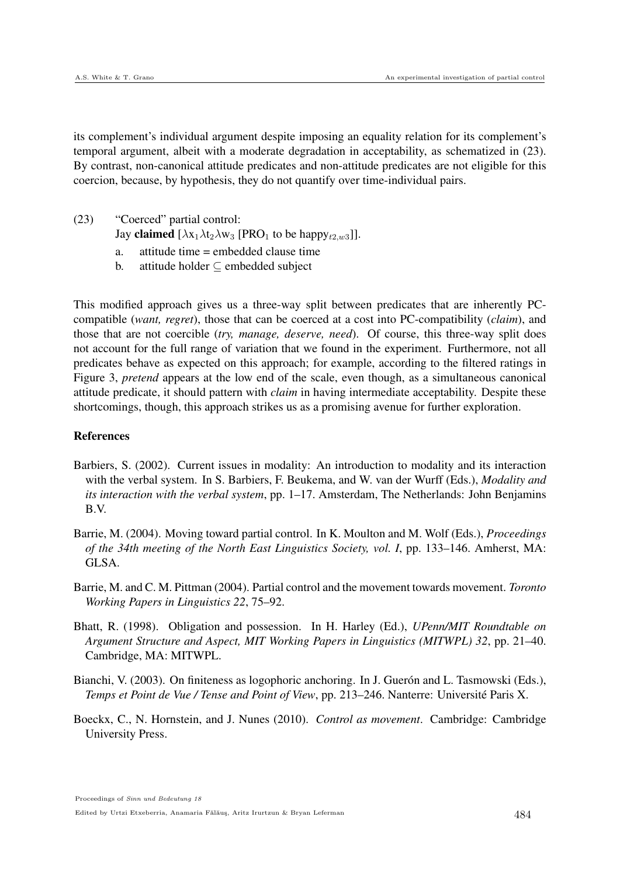its complement's individual argument despite imposing an equality relation for its complement's temporal argument, albeit with a moderate degradation in acceptability, as schematized in (23). By contrast, non-canonical attitude predicates and non-attitude predicates are not eligible for this coercion, because, by hypothesis, they do not quantify over time-individual pairs.

- (23) "Coerced" partial control:
	- Jay claimed  $[\lambda x_1 \lambda t_2 \lambda w_3$  [PRO<sub>1</sub> to be happy<sub>t2,w3</sub>]].
	- a. attitude time = embedded clause time
	- b. attitude holder  $\subseteq$  embedded subject

This modified approach gives us a three-way split between predicates that are inherently PCcompatible (*want, regret*), those that can be coerced at a cost into PC-compatibility (*claim*), and those that are not coercible (*try, manage, deserve, need*). Of course, this three-way split does not account for the full range of variation that we found in the experiment. Furthermore, not all predicates behave as expected on this approach; for example, according to the filtered ratings in Figure 3, *pretend* appears at the low end of the scale, even though, as a simultaneous canonical attitude predicate, it should pattern with *claim* in having intermediate acceptability. Despite these shortcomings, though, this approach strikes us as a promising avenue for further exploration.

## References

- Barbiers, S. (2002). Current issues in modality: An introduction to modality and its interaction with the verbal system. In S. Barbiers, F. Beukema, and W. van der Wurff (Eds.), *Modality and its interaction with the verbal system*, pp. 1–17. Amsterdam, The Netherlands: John Benjamins B.V.
- Barrie, M. (2004). Moving toward partial control. In K. Moulton and M. Wolf (Eds.), *Proceedings of the 34th meeting of the North East Linguistics Society, vol. I*, pp. 133–146. Amherst, MA: GLSA.
- Barrie, M. and C. M. Pittman (2004). Partial control and the movement towards movement. *Toronto Working Papers in Linguistics 22*, 75–92.
- Bhatt, R. (1998). Obligation and possession. In H. Harley (Ed.), *UPenn/MIT Roundtable on Argument Structure and Aspect, MIT Working Papers in Linguistics (MITWPL) 32*, pp. 21–40. Cambridge, MA: MITWPL.
- Bianchi, V. (2003). On finiteness as logophoric anchoring. In J. Guerón and L. Tasmowski (Eds.), *Temps et Point de Vue / Tense and Point of View*, pp. 213–246. Nanterre: Université Paris X.
- Boeckx, C., N. Hornstein, and J. Nunes (2010). *Control as movement*. Cambridge: Cambridge University Press.

Proceedings of Sinn und Bedeutung 18 Edited by Urtzi Etxeberria, Anamaria Fălăuş, Aritz Irurtzun & Bryan Leferman 484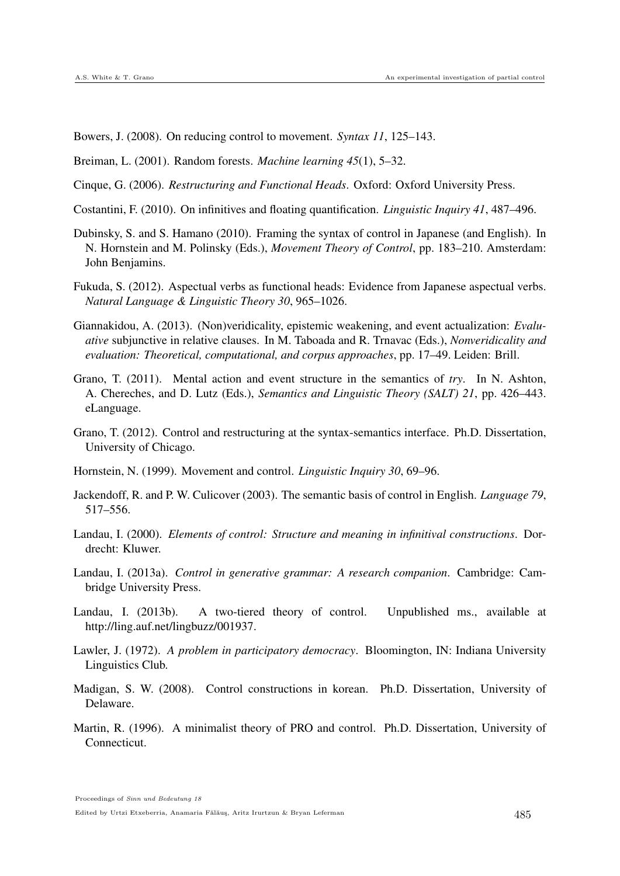Bowers, J. (2008). On reducing control to movement. *Syntax 11*, 125–143.

Breiman, L. (2001). Random forests. *Machine learning 45*(1), 5–32.

Cinque, G. (2006). *Restructuring and Functional Heads*. Oxford: Oxford University Press.

- Costantini, F. (2010). On infinitives and floating quantification. *Linguistic Inquiry 41*, 487–496.
- Dubinsky, S. and S. Hamano (2010). Framing the syntax of control in Japanese (and English). In N. Hornstein and M. Polinsky (Eds.), *Movement Theory of Control*, pp. 183–210. Amsterdam: John Benjamins.
- Fukuda, S. (2012). Aspectual verbs as functional heads: Evidence from Japanese aspectual verbs. *Natural Language & Linguistic Theory 30*, 965–1026.
- Giannakidou, A. (2013). (Non)veridicality, epistemic weakening, and event actualization: *Evaluative* subjunctive in relative clauses. In M. Taboada and R. Trnavac (Eds.), *Nonveridicality and evaluation: Theoretical, computational, and corpus approaches*, pp. 17–49. Leiden: Brill.
- Grano, T. (2011). Mental action and event structure in the semantics of *try*. In N. Ashton, A. Chereches, and D. Lutz (Eds.), *Semantics and Linguistic Theory (SALT) 21*, pp. 426–443. eLanguage.
- Grano, T. (2012). Control and restructuring at the syntax-semantics interface. Ph.D. Dissertation, University of Chicago.
- Hornstein, N. (1999). Movement and control. *Linguistic Inquiry 30*, 69–96.
- Jackendoff, R. and P. W. Culicover (2003). The semantic basis of control in English. *Language 79*, 517–556.
- Landau, I. (2000). *Elements of control: Structure and meaning in infinitival constructions*. Dordrecht: Kluwer.
- Landau, I. (2013a). *Control in generative grammar: A research companion*. Cambridge: Cambridge University Press.
- Landau, I. (2013b). A two-tiered theory of control. Unpublished ms., available at http://ling.auf.net/lingbuzz/001937.
- Lawler, J. (1972). *A problem in participatory democracy*. Bloomington, IN: Indiana University Linguistics Club.
- Madigan, S. W. (2008). Control constructions in korean. Ph.D. Dissertation, University of Delaware.
- Martin, R. (1996). A minimalist theory of PRO and control. Ph.D. Dissertation, University of **Connecticut.**

Proceedings of Sinn und Bedeutung 18

Edited by Urtzi Etxeberria, Anamaria Fălăuş, Aritz Irurtzun & Bryan Leferman  $485$